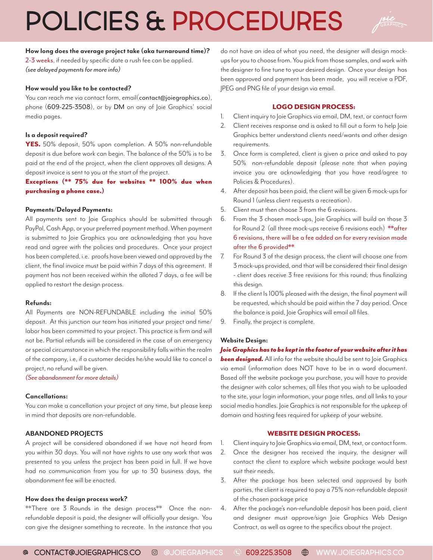# POLICIES & PROCEDURES



## **How long does the average project take (aka turnaround time)?**

2-3 weeks, if needed by specific date a rush fee can be applied. *(see delayed payments for more info)*

## **How would you like to be contacted?**

You can reach me via contact form, email(contact@joiegraphics.co), phone (609-225-3508), or by DM on any of Joie Graphics' social media pages.

#### **Is a deposit required?**

YES. 50% deposit, 50% upon completion. A 50% non-refundable deposit is due before work can begin. The balance of the 50% is to be paid at the end of the project, when the client approves all designs. A deposit invoice is sent to you at the start of the project.

Exceptions (\*\* 75% due for websites \*\* 100% due when purchasing a phone case.)

#### **Payments/Delayed Payments:**

All payments sent to Joie Graphics should be submitted through PayPal, Cash App, or your preferred payment method. When payment is submitted to Joie Graphics you are acknowledging that you have read and agree with the policies and procedures. Once your project has been completed, i.e. proofs have been viewed and approved by the client, the final invoice must be paid within 7 days of this agreement. If payment has not been received within the alloted 7 days, a fee will be applied to restart the design process.

## **Refunds:**

All Payments are NON-REFUNDABLE including the initial 50% deposit. At this junction our team has initiated your project and time/ labor has been committed to your project. This practice is firm and will not be. Partial refunds will be considered in the case of an emergency or special circumstance in which the responsibility falls within the realm of the company, i.e, if a customer decides he/she would like to cancel a project, no refund will be given.

*(See abandonment for more details)*

## **Cancellations:**

You can make a cancellation your project at any time, but please keep in mind that deposits are non-refundable.

## **ABANDONED PROJECTS**

A project will be considered abandoned if we have not heard from you within 30 days. You will not have rights to use any work that was presented to you unless the project has been paid in full. If we have had no communication from you for up to 30 business days, the abandonment fee will be enacted.

#### **How does the design process work?**

\*\*There are 3 Rounds in the design process\*\* Once the nonrefundable deposit is paid, the designer will officially your design. You can give the designer something to recreate. In the instance that you

do not have an idea of what you need, the designer will design mockups for you to choose from. You pick from those samples, and work with the designer to fine tune to your desired design. Once your design has been approved and payment has been made, you will receive a PDF, JPEG and PNG file of your design via email.

## LOGO DESIGN PROCESS:

- 1. Client inquiry to Joie Graphics via email, DM, text, or contact form
- 2. Client receives response and is asked to fill out a form to help Joie Graphics better understand clients need/wants and other design requirements.
- 3. Once form is completed, client is given a price and asked to pay 50% non-refundable deposit (please note that when paying invoice you are acknowledging that you have read/agree to Policies & Procedures).
- 4. After deposit has been paid, the client will be given 6 mock-ups for Round 1 (unless client requests a recreation).
- 5. Client must then choose 3 from the 6 revisions.
- 6. From the 3 chosen mock-ups, Joie Graphics will build on those 3 for Round 2 (all three mock-ups receive 6 revisions each) \*\*after 6 revisions, there will be a fee added on for every revision made after the 6 provided\*\*
- 7. For Round 3 of the design process, the client will choose one from 3 mock-ups provided, and that will be considered their final design - client does receive 3 free revisions for this round; thus finalizing this design.
- 8. If the client Is 100% pleased with the design, the final payment will be requested, which should be paid within the 7 day period. Once the balance is paid, Joie Graphics will email all files.
- 9. Finally, the project is complete.

## **Website Design:**

*Joie Graphics has to be kept in the footer of your website after it has*  **been designed.** All info for the website should be sent to loie Graphics via email (information does NOT have to be in a word document. Based off the website package you purchase, you will have to provide the designer with color schemes, all files that you wish to be uploaded to the site, your login information, your page titles, and all links to your social media handles. Joie Graphics is not responsible for the upkeep of domain and hosting fees required for upkeep of your website.

## WEBSITE DESIGN PROCESS:

- 1. Client inquiry to Joie Graphics via email, DM, text, or contact form.
- 2. Once the designer has received the inquiry, the designer will contact the client to explore which website package would best suit their needs.
- 3. After the package has been selected and approved by both parties, the client is required to pay a 75% non-refundable deposit of the chosen package price
- 4. After the package's non-refundable deposit has been paid, client and designer must approve/sign Joie Graphics Web Design Contract, as well as agree to the specifics about the project.